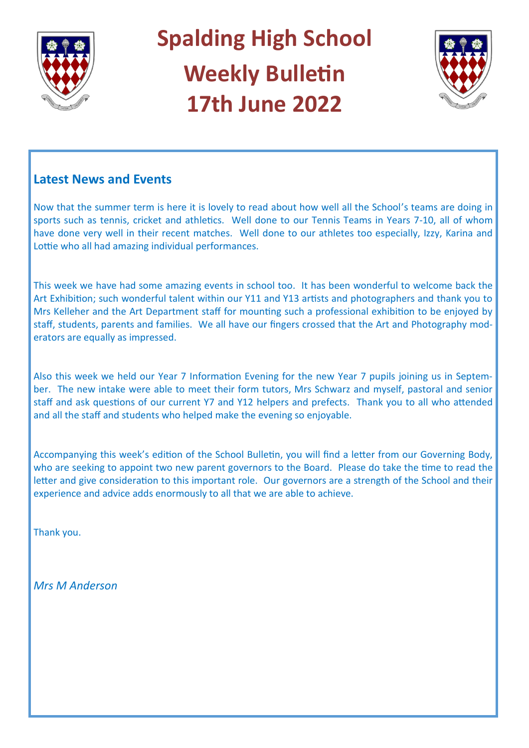

# **Spalding High School Weekly Bulletin 17th June 2022**



## **Latest News and Events**

Now that the summer term is here it is lovely to read about how well all the School's teams are doing in sports such as tennis, cricket and athletics. Well done to our Tennis Teams in Years 7-10, all of whom have done very well in their recent matches. Well done to our athletes too especially, Izzy, Karina and Lottie who all had amazing individual performances.

This week we have had some amazing events in school too. It has been wonderful to welcome back the Art Exhibition; such wonderful talent within our Y11 and Y13 artists and photographers and thank you to Mrs Kelleher and the Art Department staff for mounting such a professional exhibition to be enjoyed by staff, students, parents and families. We all have our fingers crossed that the Art and Photography moderators are equally as impressed.

Also this week we held our Year 7 Information Evening for the new Year 7 pupils joining us in September. The new intake were able to meet their form tutors, Mrs Schwarz and myself, pastoral and senior staff and ask questions of our current Y7 and Y12 helpers and prefects. Thank you to all who attended and all the staff and students who helped make the evening so enjoyable.

Accompanying this week's edition of the School Bulletin, you will find a letter from our Governing Body, who are seeking to appoint two new parent governors to the Board. Please do take the time to read the letter and give consideration to this important role. Our governors are a strength of the School and their experience and advice adds enormously to all that we are able to achieve.

Thank you.

*Mrs M Anderson*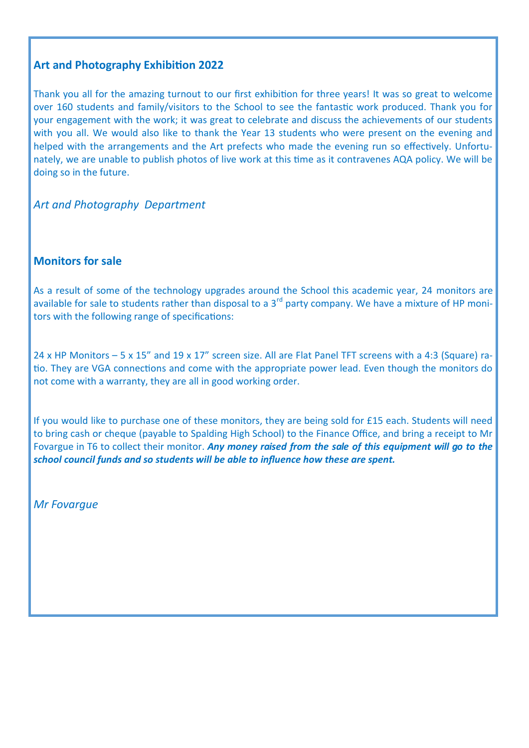## **Art and Photography Exhibition 2022**

Thank you all for the amazing turnout to our first exhibition for three years! It was so great to welcome over 160 students and family/visitors to the School to see the fantastic work produced. Thank you for your engagement with the work; it was great to celebrate and discuss the achievements of our students with you all. We would also like to thank the Year 13 students who were present on the evening and helped with the arrangements and the Art prefects who made the evening run so effectively. Unfortunately, we are unable to publish photos of live work at this time as it contravenes AQA policy. We will be doing so in the future.

*Art and Photography Department*

#### **Monitors for sale**

As a result of some of the technology upgrades around the School this academic year, 24 monitors are available for sale to students rather than disposal to a 3<sup>rd</sup> party company. We have a mixture of HP monitors with the following range of specifications:

24 x HP Monitors – 5 x 15" and 19 x 17" screen size. All are Flat Panel TFT screens with a 4:3 (Square) ratio. They are VGA connections and come with the appropriate power lead. Even though the monitors do not come with a warranty, they are all in good working order.

If you would like to purchase one of these monitors, they are being sold for £15 each. Students will need to bring cash or cheque (payable to Spalding High School) to the Finance Office, and bring a receipt to Mr Fovargue in T6 to collect their monitor. *Any money raised from the sale of this equipment will go to the school council funds and so students will be able to influence how these are spent.*

*Mr Fovargue*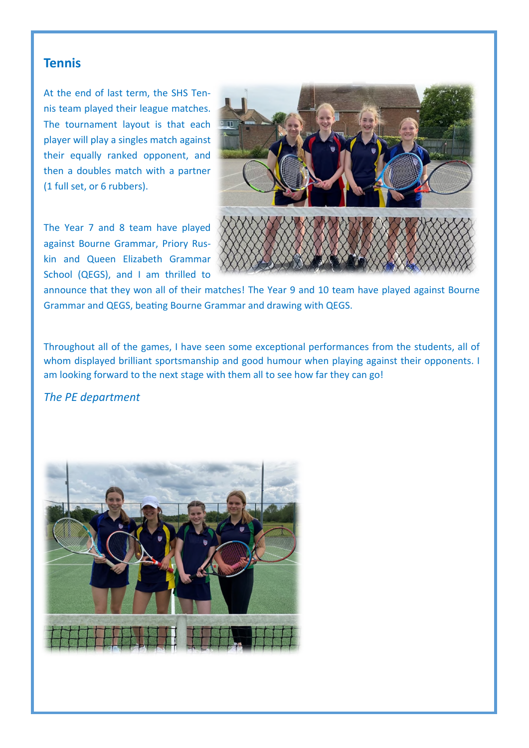## **Tennis**

At the end of last term, the SHS Tennis team played their league matches. The tournament layout is that each player will play a singles match against their equally ranked opponent, and then a doubles match with a partner (1 full set, or 6 rubbers).

The Year 7 and 8 team have played against Bourne Grammar, Priory Ruskin and Queen Elizabeth Grammar School (QEGS), and I am thrilled to



announce that they won all of their matches! The Year 9 and 10 team have played against Bourne Grammar and QEGS, beating Bourne Grammar and drawing with QEGS.

Throughout all of the games, I have seen some exceptional performances from the students, all of whom displayed brilliant sportsmanship and good humour when playing against their opponents. I am looking forward to the next stage with them all to see how far they can go!

#### *The PE department*

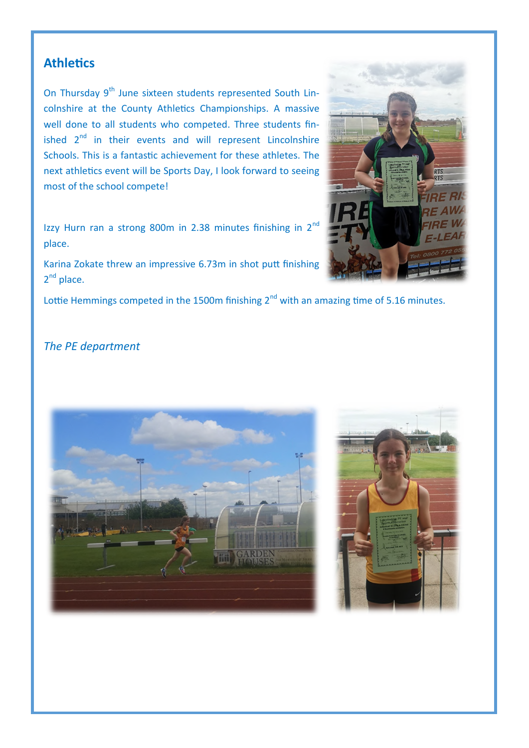## **Athletics**

On Thursday 9<sup>th</sup> June sixteen students represented South Lincolnshire at the County Athletics Championships. A massive well done to all students who competed. Three students finished  $2^{nd}$  in their events and will represent Lincolnshire Schools. This is a fantastic achievement for these athletes. The next athletics event will be Sports Day, I look forward to seeing most of the school compete!

Izzy Hurn ran a strong 800m in 2.38 minutes finishing in 2<sup>nd</sup> place.

Karina Zokate threw an impressive 6.73m in shot putt finishing 2<sup>nd</sup> place.

Lottie Hemmings competed in the 1500m finishing  $2<sup>nd</sup>$  with an amazing time of 5.16 minutes.

## *The PE department*





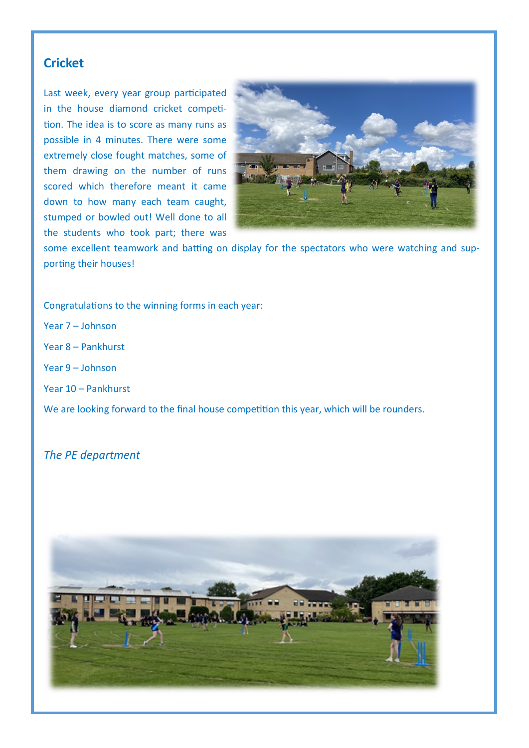## **Cricket**

Last week, every year group participated in the house diamond cricket competition. The idea is to score as many runs as possible in 4 minutes. There were some extremely close fought matches, some of them drawing on the number of runs scored which therefore meant it came down to how many each team caught, stumped or bowled out! Well done to all the students who took part; there was



some excellent teamwork and batting on display for the spectators who were watching and supporting their houses!

Congratulations to the winning forms in each year:

Year 7 – Johnson Year 8 – Pankhurst Year 9 – Johnson Year 10 – Pankhurst We are looking forward to the final house competition this year, which will be rounders.

*The PE department* 

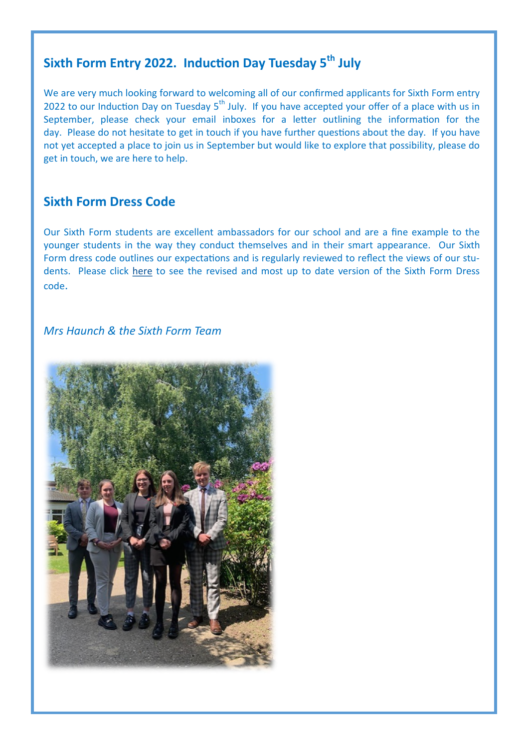## **Sixth Form Entry 2022. Induction Day Tuesday 5th July**

We are very much looking forward to welcoming all of our confirmed applicants for Sixth Form entry 2022 to our Induction Day on Tuesday 5<sup>th</sup> July. If you have accepted your offer of a place with us in September, please check your email inboxes for a letter outlining the information for the day. Please do not hesitate to get in touch if you have further questions about the day. If you have not yet accepted a place to join us in September but would like to explore that possibility, please do get in touch, we are here to help.

## **Sixth Form Dress Code**

Our Sixth Form students are excellent ambassadors for our school and are a fine example to the younger students in the way they conduct themselves and in their smart appearance. Our Sixth Form dress code outlines our expectations and is regularly reviewed to reflect the views of our students. Please click [here](https://www.spaldinghigh.lincs.sch.uk/media/Sixth%20Form%20Dress%20Code%202022.pdf) to see the revised and most up to date version of the Sixth Form Dress code.

*Mrs Haunch & the Sixth Form Team*